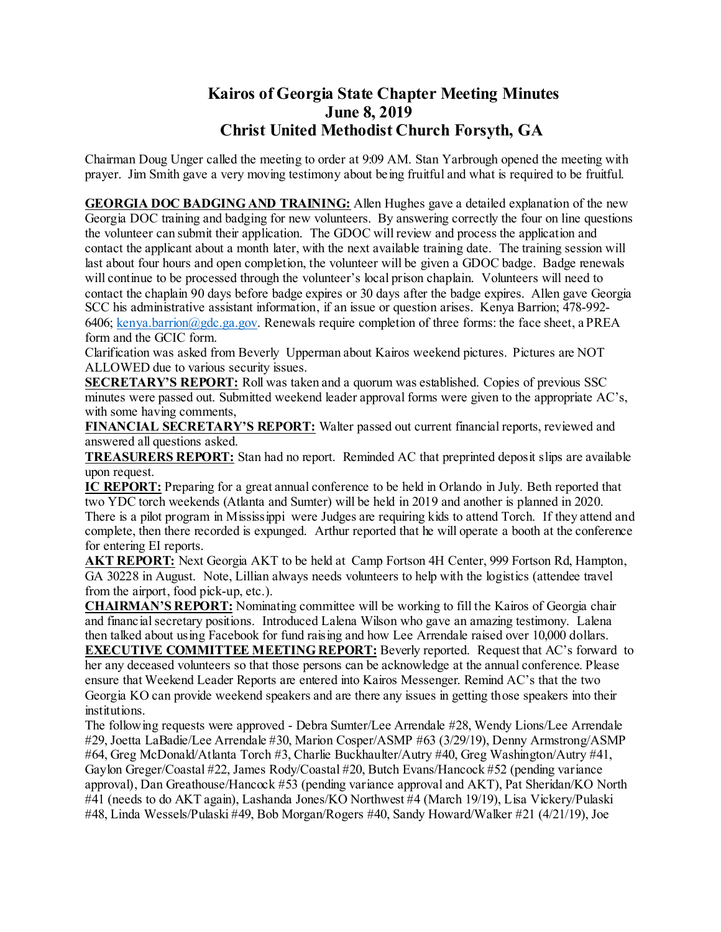## **Kairos of Georgia State Chapter Meeting Minutes June 8, 2019 Christ United Methodist Church Forsyth, GA**

Chairman Doug Unger called the meeting to order at 9:09 AM. Stan Yarbrough opened the meeting with prayer. Jim Smith gave a very moving testimony about being fruitful and what is required to be fruitful.

**GEORGIA DOC BADGING AND TRAINING:** Allen Hughes gave a detailed explanation of the new Georgia DOC training and badging for new volunteers. By answering correctly the four on line questions the volunteer can submit their application. The GDOC will review and process the application and contact the applicant about a month later, with the next available training date. The training session will last about four hours and open completion, the volunteer will be given a GDOC badge. Badge renewals will continue to be processed through the volunteer's local prison chaplain. Volunteers will need to contact the chaplain 90 days before badge expires or 30 days after the badge expires. Allen gave Georgia SCC his administrative assistant information, if an issue or question arises. Kenya Barrion; 478-992 6406; [kenya.barrion@gdc.ga.gov.](mailto:kenya.barrion@gdc.ga.gov) Renewals require completion of three forms: the face sheet, a PREA form and the GCIC form.

Clarification was asked from Beverly Upperman about Kairos weekend pictures. Pictures are NOT ALLOWED due to various security issues.

**SECRETARY'S REPORT:** Roll was taken and a quorum was established. Copies of previous SSC minutes were passed out. Submitted weekend leader approval forms were given to the appropriate AC's, with some having comments,

**FINANCIAL SECRETARY'S REPORT:** Walter passed out current financial reports, reviewed and answered all questions asked.

**TREASURERS REPORT:** Stan had no report. Reminded AC that preprinted deposit slips are available upon request.

**IC REPORT:** Preparing for a great annual conference to be held in Orlando in July. Beth reported that two YDC torch weekends (Atlanta and Sumter) will be held in 2019 and another is planned in 2020. There is a pilot program in Mississippi were Judges are requiring kids to attend Torch. If they attend and complete, then there recorded is expunged. Arthur reported that he will operate a booth at the conference for entering EI reports.

**AKT REPORT:** Next Georgia AKT to be held at Camp Fortson 4H Center, 999 Fortson Rd, Hampton, GA 30228 in August. Note, Lillian always needs volunteers to help with the logistics (attendee travel from the airport, food pick-up, etc.).

**CHAIRMAN'S REPORT:** Nominating committee will be working to fill the Kairos of Georgia chair and financial secretary positions. Introduced Lalena Wilson who gave an amazing testimony. Lalena then talked about using Facebook for fund raising and how Lee Arrendale raised over 10,000 dollars.

**EXECUTIVE COMMITTEE MEETING REPORT:** Beverly reported. Request that AC's forward to her any deceased volunteers so that those persons can be acknowledge at the annual conference. Please ensure that Weekend Leader Reports are entered into Kairos Messenger. Remind AC's that the two Georgia KO can provide weekend speakers and are there any issues in getting those speakers into their institutions.

The following requests were approved - Debra Sumter/Lee Arrendale #28, Wendy Lions/Lee Arrendale #29, Joetta LaBadie/Lee Arrendale #30, Marion Cosper/ASMP #63 (3/29/19), Denny Armstrong/ASMP #64, Greg McDonald/Atlanta Torch #3, Charlie Buckhaulter/Autry #40, Greg Washington/Autry #41, Gaylon Greger/Coastal #22, James Rody/Coastal #20, Butch Evans/Hancock #52 (pending variance approval), Dan Greathouse/Hancock #53 (pending variance approval and AKT), Pat Sheridan/KO North #41 (needs to do AKT again), Lashanda Jones/KO Northwest #4 (March 19/19), Lisa Vickery/Pulaski #48, Linda Wessels/Pulaski #49, Bob Morgan/Rogers #40, Sandy Howard/Walker #21 (4/21/19), Joe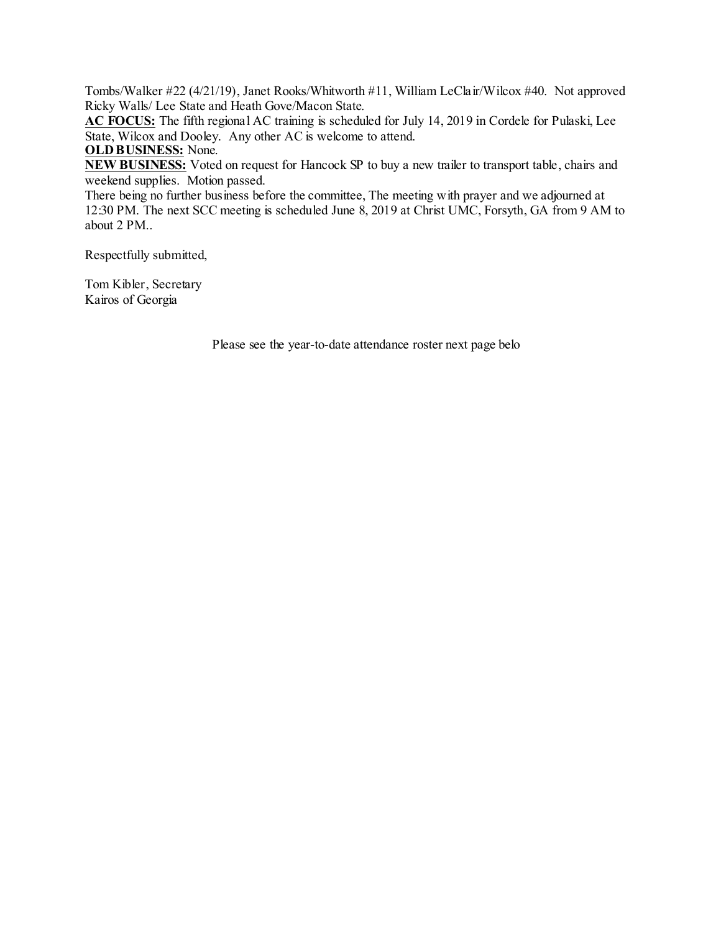Tombs/Walker #22 (4/21/19), Janet Rooks/Whitworth #11, William LeClair/Wilcox #40. Not approved Ricky Walls/ Lee State and Heath Gove/Macon State.

**AC FOCUS:** The fifth regional AC training is scheduled for July 14, 2019 in Cordele for Pulaski, Lee State, Wilcox and Dooley. Any other AC is welcome to attend.

**OLD BUSINESS:** None.

**NEW BUSINESS:** Voted on request for Hancock SP to buy a new trailer to transport table, chairs and weekend supplies. Motion passed.

There being no further business before the committee, The meeting with prayer and we adjourned at 12:30 PM. The next SCC meeting is scheduled June 8, 2019 at Christ UMC, Forsyth, GA from 9 AM to about 2 PM..

Respectfully submitted,

Tom Kibler, Secretary Kairos of Georgia

Please see the year-to-date attendance roster next page belo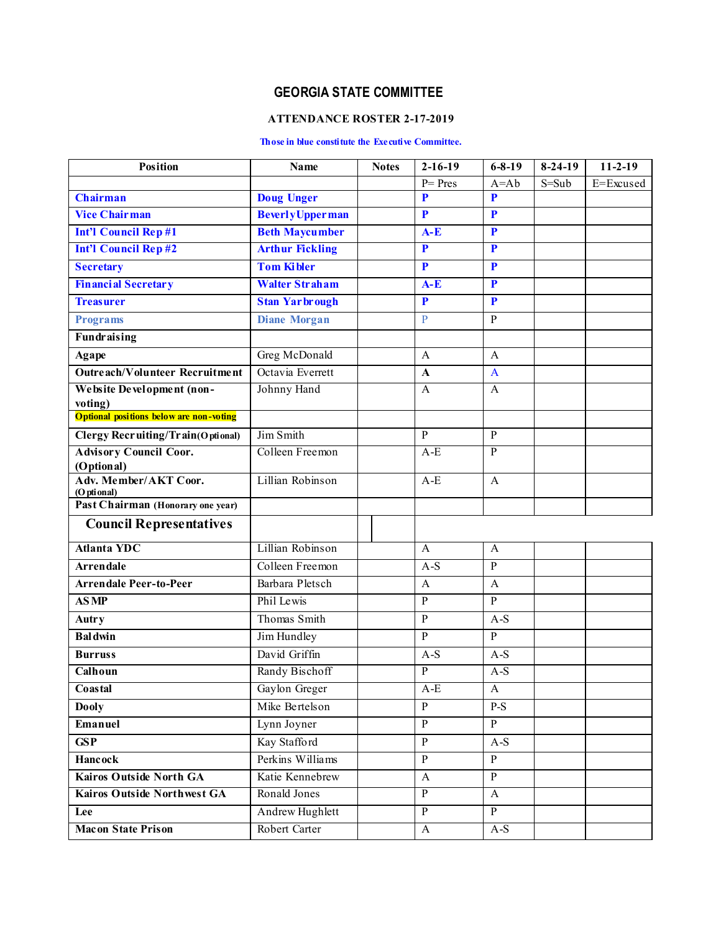## **GEORGIA STATE COMMITTEE**

## **ATTENDANCE ROSTER 2-17-2019**

## **Those in blue constitute the Executive Committee.**

| <b>Position</b>                                          | Name                    | <b>Notes</b> | $2 - 16 - 19$  | $6 - 8 - 19$            | $8-24-19$ | $11-2-19$ |
|----------------------------------------------------------|-------------------------|--------------|----------------|-------------------------|-----------|-----------|
|                                                          |                         |              | $P = Pres$     | $A = Ab$                | $S = Sub$ | E=Excused |
| <b>Chairman</b>                                          | <b>Doug Unger</b>       |              | P              | P                       |           |           |
| <b>Vice Chairman</b>                                     | <b>Beverly Upperman</b> |              | P              | $\mathbf{P}$            |           |           |
| <b>Int'l Council Rep#1</b>                               | <b>Beth Maycumber</b>   |              | $A-E$          | $\mathbf{P}$            |           |           |
| <b>Int'l Council Rep#2</b>                               | <b>Arthur Fickling</b>  |              | P              | $\mathbf{P}$            |           |           |
| <b>Secretary</b>                                         | <b>Tom Kibler</b>       |              | P              | P                       |           |           |
| <b>Financial Secretary</b>                               | <b>Walter Straham</b>   |              | $A-E$          | $\overline{\mathbf{P}}$ |           |           |
| <b>Treasurer</b>                                         | <b>Stan Yarbrough</b>   |              | P              | $\mathbf{P}$            |           |           |
| <b>Programs</b>                                          | <b>Diane Morgan</b>     |              | $\mathbf{P}$   | $\overline{P}$          |           |           |
| <b>Fundraising</b>                                       |                         |              |                |                         |           |           |
| Agape                                                    | Greg McDonald           |              | A              | $\mathbf{A}$            |           |           |
| Outreach/Volunteer Recruitment                           | Octavia Everrett        |              | $\mathbf{A}$   | $\mathbf{A}$            |           |           |
| Website Development (non-                                | Johnny Hand             |              | $\mathbf{A}$   | $\mathbf{A}$            |           |           |
| voting)<br><b>Optional positions below are non-wting</b> |                         |              |                |                         |           |           |
|                                                          | Jim Smith               |              | $\mathbf{P}$   |                         |           |           |
| <b>Clergy Recruiting/Train(Optional)</b>                 | Colleen Freemon         |              | $A-E$          | $\mathbf{P}$<br>P       |           |           |
| <b>Advisory Council Coor.</b><br>(Optional)              |                         |              |                |                         |           |           |
| Adv. Member/AKT Coor.                                    | Lillian Robinson        |              | $A-E$          | $\overline{A}$          |           |           |
| (Optional)<br>Past Chairman (Honorary one year)          |                         |              |                |                         |           |           |
|                                                          |                         |              |                |                         |           |           |
| <b>Council Representatives</b>                           |                         |              |                |                         |           |           |
| <b>Atlanta YDC</b>                                       | Lillian Robinson        |              | A              | $\mathbf{A}$            |           |           |
| <b>Arrendale</b>                                         | Colleen Freemon         |              | $A-S$          | $\overline{P}$          |           |           |
| <b>Arrendale Peer-to-Peer</b>                            | Barbara Pletsch         |              | A              | $\mathbf{A}$            |           |           |
| <b>ASMP</b>                                              | Phil Lewis              |              | $\mathbf{P}$   | $\overline{P}$          |           |           |
| <b>Autry</b>                                             | Thomas Smith            |              | P              | $A-S$                   |           |           |
| <b>Baldwin</b>                                           | Jim Hundley             |              | P              | $\overline{P}$          |           |           |
| <b>Burruss</b>                                           | David Griffin           |              | $A-S$          | $A-S$                   |           |           |
| Calhoun                                                  | Randy Bischoff          |              | $\mathbf{P}$   | $A-S$                   |           |           |
| Coastal                                                  | Gaylon Greger           |              | A-E            | A                       |           |           |
| <b>Dooly</b>                                             | Mike Bertelson          |              | $\mathbf{P}$   | $P-S$                   |           |           |
| Emanuel                                                  | Lynn Joyner             |              | $\mathbf{P}$   | $\mathbf{P}$            |           |           |
| <b>GSP</b>                                               | Kay Stafford            |              | $\overline{P}$ | $A-S$                   |           |           |
| <b>Hancock</b>                                           | Perkins Williams        |              | $\mathbf{P}$   | $\, {\bf P}$            |           |           |
| <b>Kairos Outside North GA</b>                           | Katie Kennebrew         |              | $\mathbf{A}$   | $\overline{P}$          |           |           |
| <b>Kairos Outside Northwest GA</b>                       | Ronald Jones            |              | $\overline{P}$ | $\mathbf{A}$            |           |           |
| Lee                                                      | Andrew Hughlett         |              | $\overline{P}$ | $\overline{P}$          |           |           |
| <b>Macon State Prison</b>                                | Robert Carter           |              | $\mathbf{A}$   | $A-S$                   |           |           |